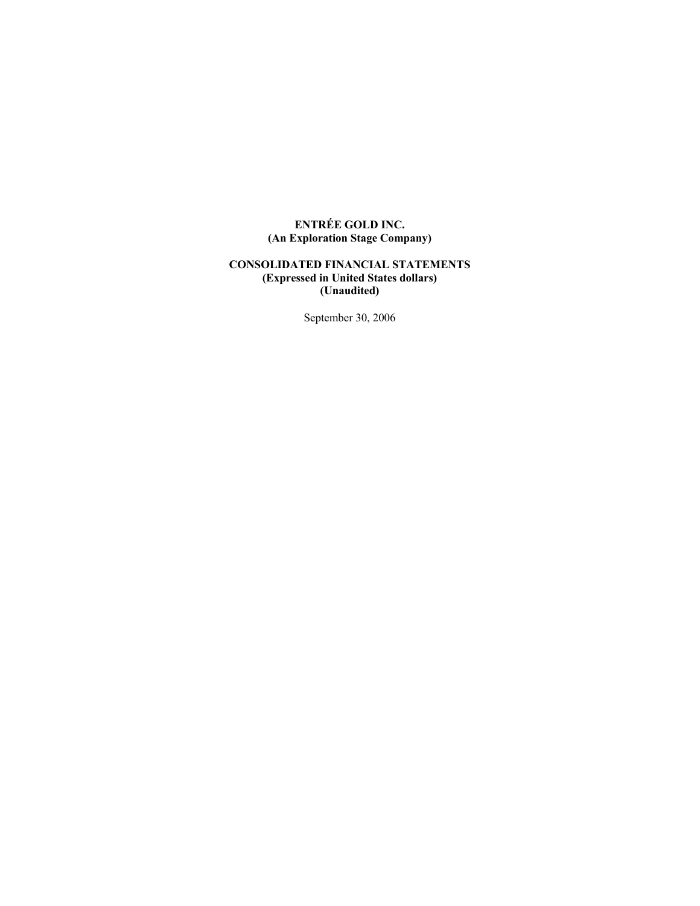# **ENTRÉE GOLD INC. (An Exploration Stage Company)**

## **CONSOLIDATED FINANCIAL STATEMENTS (Expressed in United States dollars) (Unaudited)**

September 30, 2006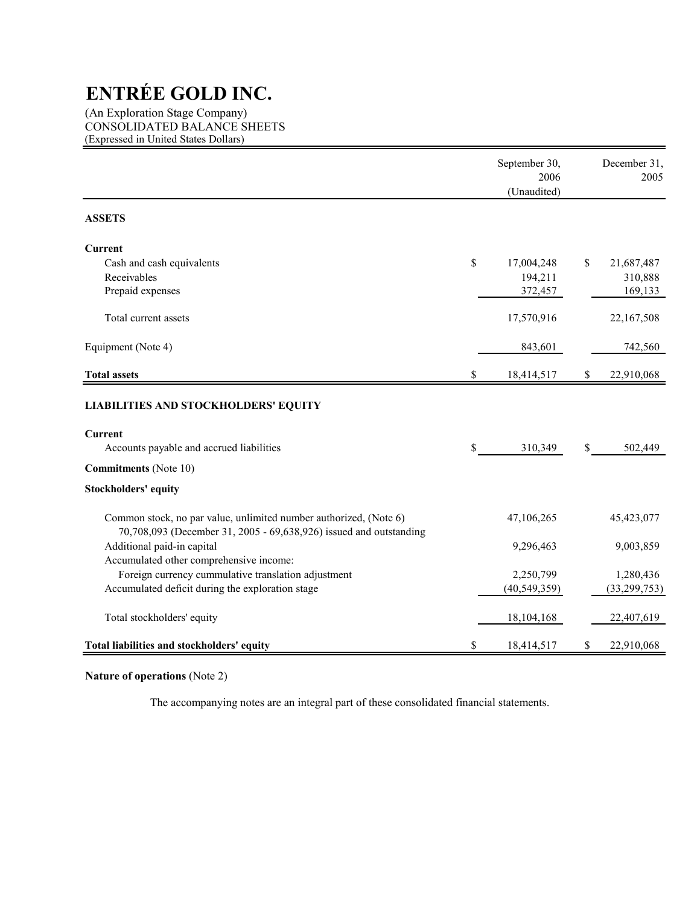(An Exploration Stage Company) CONSOLIDATED BALANCE SHEETS (Expressed in United States Dollars)

|                                                                                                                                         | September 30,<br>2006<br>(Unaudited) |    | December 31,<br>2005 |
|-----------------------------------------------------------------------------------------------------------------------------------------|--------------------------------------|----|----------------------|
| <b>ASSETS</b>                                                                                                                           |                                      |    |                      |
| <b>Current</b>                                                                                                                          |                                      |    |                      |
| Cash and cash equivalents                                                                                                               | \$<br>17,004,248                     | S  | 21,687,487           |
| Receivables                                                                                                                             | 194,211                              |    | 310,888              |
| Prepaid expenses                                                                                                                        | 372,457                              |    | 169,133              |
| Total current assets                                                                                                                    | 17,570,916                           |    | 22,167,508           |
| Equipment (Note 4)                                                                                                                      | 843,601                              |    | 742,560              |
| <b>Total assets</b>                                                                                                                     | \$<br>18,414,517                     | \$ | 22,910,068           |
| <b>LIABILITIES AND STOCKHOLDERS' EQUITY</b><br><b>Current</b>                                                                           |                                      |    |                      |
| Accounts payable and accrued liabilities                                                                                                | \$<br>310,349                        | \$ | 502,449              |
| <b>Commitments</b> (Note 10)                                                                                                            |                                      |    |                      |
| <b>Stockholders' equity</b>                                                                                                             |                                      |    |                      |
| Common stock, no par value, unlimited number authorized, (Note 6)<br>70,708,093 (December 31, 2005 - 69,638,926) issued and outstanding | 47,106,265                           |    | 45,423,077           |
| Additional paid-in capital                                                                                                              | 9,296,463                            |    | 9,003,859            |
| Accumulated other comprehensive income:                                                                                                 |                                      |    |                      |
| Foreign currency cummulative translation adjustment                                                                                     | 2,250,799                            |    | 1,280,436            |
| Accumulated deficit during the exploration stage                                                                                        | (40, 549, 359)                       |    | (33, 299, 753)       |
| Total stockholders' equity                                                                                                              | 18,104,168                           |    | 22,407,619           |
| Total liabilities and stockholders' equity                                                                                              | \$<br>18,414,517                     | S  | 22,910,068           |

# **Nature of operations** (Note 2)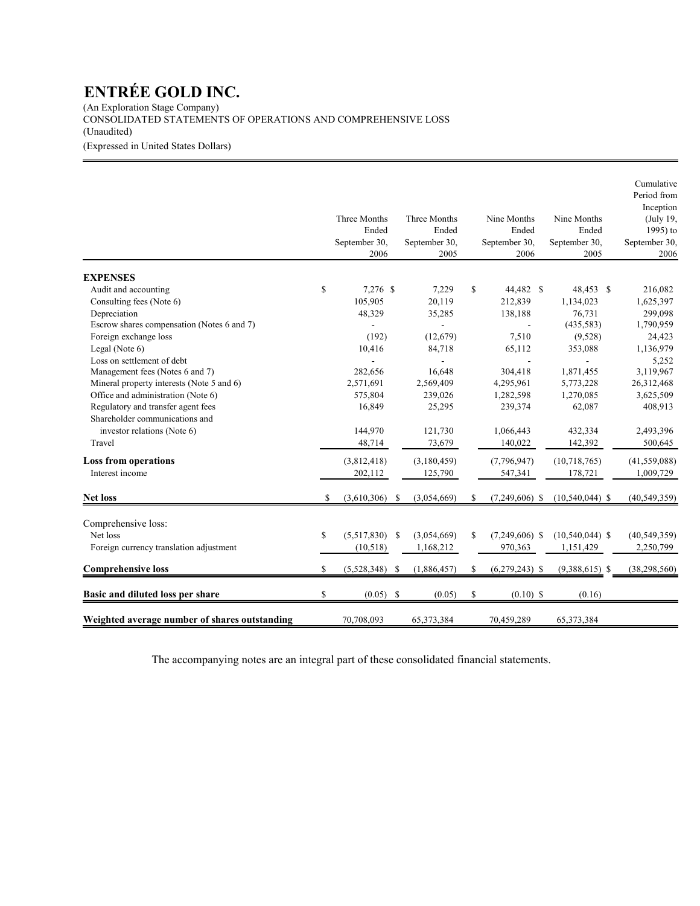(An Exploration Stage Company) CONSOLIDATED STATEMENTS OF OPERATIONS AND COMPREHENSIVE LOSS (Unaudited)

(Expressed in United States Dollars)

|                                               |    | Three Months<br>Ended<br>September 30,<br>2006 |               | Three Months<br>Ended<br>September 30,<br>2005 |    | Nine Months<br>Ended<br>September 30,<br>2006 | Nine Months<br>Ended<br>September 30,<br>2005 | Cumulative<br>Period from<br>Inception<br>(July 19,<br>1995) to<br>September 30,<br>2006 |
|-----------------------------------------------|----|------------------------------------------------|---------------|------------------------------------------------|----|-----------------------------------------------|-----------------------------------------------|------------------------------------------------------------------------------------------|
| <b>EXPENSES</b>                               |    |                                                |               |                                                |    |                                               |                                               |                                                                                          |
| Audit and accounting                          | \$ | 7,276 \$                                       |               | 7,229                                          | \$ | 44,482 \$                                     | 48,453 \$                                     | 216,082                                                                                  |
| Consulting fees (Note 6)                      |    | 105,905                                        |               | 20,119                                         |    | 212,839                                       | 1,134,023                                     | 1,625,397                                                                                |
| Depreciation                                  |    | 48,329                                         |               | 35,285                                         |    | 138,188                                       | 76,731                                        | 299,098                                                                                  |
| Escrow shares compensation (Notes 6 and 7)    |    |                                                |               |                                                |    |                                               | (435, 583)                                    | 1,790,959                                                                                |
| Foreign exchange loss                         |    | (192)                                          |               | (12, 679)                                      |    | 7,510                                         | (9,528)                                       | 24,423                                                                                   |
| Legal (Note 6)                                |    | 10,416                                         |               | 84,718                                         |    | 65,112                                        | 353,088                                       | 1,136,979                                                                                |
| Loss on settlement of debt                    |    |                                                |               |                                                |    |                                               |                                               | 5,252                                                                                    |
| Management fees (Notes 6 and 7)               |    | 282,656                                        |               | 16,648                                         |    | 304,418                                       | 1,871,455                                     | 3,119,967                                                                                |
| Mineral property interests (Note 5 and 6)     |    | 2,571,691                                      |               | 2,569,409                                      |    | 4,295,961                                     | 5,773,228                                     | 26,312,468                                                                               |
| Office and administration (Note 6)            |    | 575,804                                        |               | 239,026                                        |    | 1,282,598                                     | 1,270,085                                     | 3,625,509                                                                                |
| Regulatory and transfer agent fees            |    | 16,849                                         |               | 25,295                                         |    | 239,374                                       | 62,087                                        | 408,913                                                                                  |
| Shareholder communications and                |    |                                                |               |                                                |    |                                               |                                               |                                                                                          |
| investor relations (Note 6)                   |    | 144,970                                        |               | 121,730                                        |    | 1,066,443                                     | 432,334                                       | 2,493,396                                                                                |
| Travel                                        |    | 48,714                                         |               | 73,679                                         |    | 140,022                                       | 142,392                                       | 500,645                                                                                  |
| <b>Loss from operations</b>                   |    | (3,812,418)                                    |               | (3,180,459)                                    |    | (7,796,947)                                   | (10, 718, 765)                                | (41, 559, 088)                                                                           |
| Interest income                               |    | 202,112                                        |               | 125,790                                        |    | 547,341                                       | 178,721                                       | 1,009,729                                                                                |
| <b>Net loss</b>                               | S  | (3,610,306)                                    | \$            | (3,054,669)                                    | S  | $(7,249,606)$ \$                              | $(10,540,044)$ \$                             | (40, 549, 359)                                                                           |
| Comprehensive loss:                           |    |                                                |               |                                                |    |                                               |                                               |                                                                                          |
| Net loss                                      | \$ | (5,517,830)                                    | <sup>\$</sup> | (3,054,669)                                    | S  | $(7,249,606)$ \$                              | $(10,540,044)$ \$                             | (40, 549, 359)                                                                           |
|                                               |    |                                                |               |                                                |    | 970,363                                       |                                               | 2,250,799                                                                                |
| Foreign currency translation adjustment       |    | (10,518)                                       |               | 1,168,212                                      |    |                                               | 1,151,429                                     |                                                                                          |
| <b>Comprehensive loss</b>                     | \$ | $(5,528,348)$ \$                               |               | (1,886,457)                                    | \$ | $(6,279,243)$ \$                              | $(9,388,615)$ \$                              | (38, 298, 560)                                                                           |
| Basic and diluted loss per share              | \$ | (0.05)                                         | <sup>\$</sup> | (0.05)                                         | \$ | $(0.10)$ \$                                   | (0.16)                                        |                                                                                          |
| Weighted average number of shares outstanding |    | 70,708,093                                     |               | 65,373,384                                     |    | 70,459,289                                    | 65,373,384                                    |                                                                                          |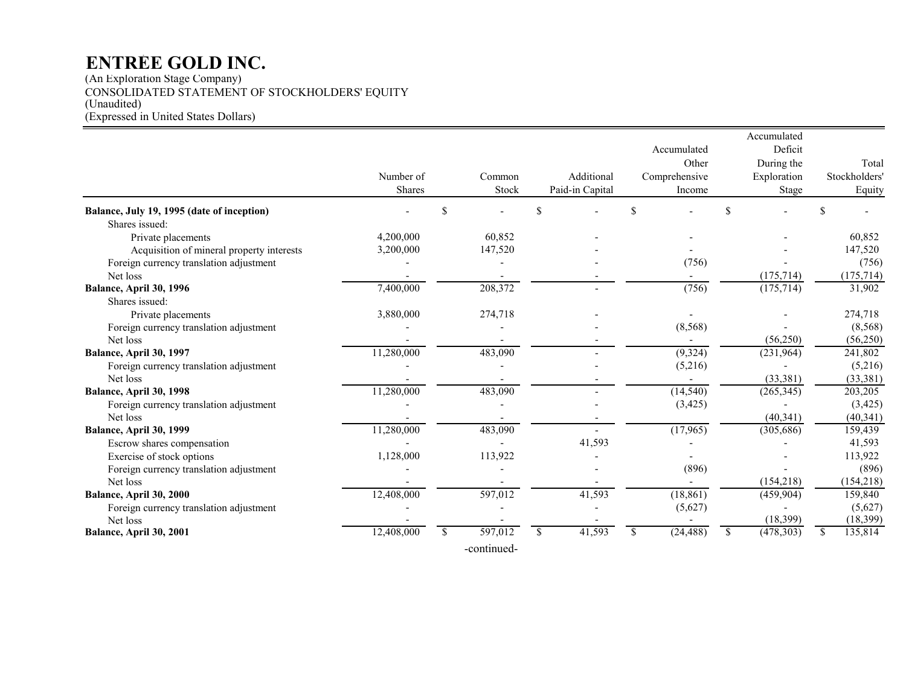(An Exploration Stage Company) CONSOLIDATED STATEMENT OF STOCKHOLDERS' EQUITY (Unaudited) (Expressed in United States Dollars)

|                                            |               |               |             |              |                 |          |               |              | Accumulated |    |               |
|--------------------------------------------|---------------|---------------|-------------|--------------|-----------------|----------|---------------|--------------|-------------|----|---------------|
|                                            |               |               |             |              |                 |          | Accumulated   |              | Deficit     |    |               |
|                                            |               |               |             |              |                 |          | Other         |              | During the  |    | Total         |
|                                            | Number of     |               | Common      |              | Additional      |          | Comprehensive |              | Exploration |    | Stockholders' |
|                                            | <b>Shares</b> |               | Stock       |              | Paid-in Capital |          | Income        |              | Stage       |    | Equity        |
| Balance, July 19, 1995 (date of inception) |               | \$            |             |              |                 | <b>S</b> |               | \$           |             |    |               |
| Shares issued:                             |               |               |             |              |                 |          |               |              |             |    |               |
| Private placements                         | 4,200,000     |               | 60,852      |              |                 |          |               |              |             |    | 60,852        |
| Acquisition of mineral property interests  | 3,200,000     |               | 147,520     |              |                 |          |               |              |             |    | 147,520       |
| Foreign currency translation adjustment    |               |               |             |              |                 |          | (756)         |              |             |    | (756)         |
| Net loss                                   |               |               |             |              |                 |          |               |              | (175, 714)  |    | (175, 714)    |
| Balance, April 30, 1996                    | 7,400,000     |               | 208,372     |              |                 |          | (756)         |              | (175, 714)  |    | 31,902        |
| Shares issued:                             |               |               |             |              |                 |          |               |              |             |    |               |
| Private placements                         | 3,880,000     |               | 274,718     |              |                 |          |               |              |             |    | 274,718       |
| Foreign currency translation adjustment    |               |               |             |              |                 |          | (8, 568)      |              |             |    | (8, 568)      |
| Net loss                                   |               |               |             |              |                 |          |               |              | (56, 250)   |    | (56,250)      |
| Balance, April 30, 1997                    | 11,280,000    |               | 483,090     |              |                 |          | (9,324)       |              | (231,964)   |    | 241,802       |
| Foreign currency translation adjustment    |               |               |             |              |                 |          | (5,216)       |              |             |    | (5,216)       |
| Net loss                                   |               |               |             |              |                 |          |               |              | (33, 381)   |    | (33, 381)     |
| Balance, April 30, 1998                    | 11,280,000    |               | 483,090     |              |                 |          | (14, 540)     |              | (265, 345)  |    | 203,205       |
| Foreign currency translation adjustment    |               |               |             |              |                 |          | (3, 425)      |              |             |    | (3, 425)      |
| Net loss                                   |               |               |             |              |                 |          |               |              | (40, 341)   |    | (40, 341)     |
| Balance, April 30, 1999                    | 11,280,000    |               | 483,090     |              |                 |          | (17,965)      |              | (305, 686)  |    | 159,439       |
| Escrow shares compensation                 |               |               |             |              | 41,593          |          |               |              |             |    | 41,593        |
| Exercise of stock options                  | 1,128,000     |               | 113,922     |              |                 |          |               |              |             |    | 113,922       |
| Foreign currency translation adjustment    |               |               |             |              |                 |          | (896)         |              |             |    | (896)         |
| Net loss                                   |               |               |             |              |                 |          |               |              | (154, 218)  |    | (154, 218)    |
| Balance, April 30, 2000                    | 12,408,000    |               | 597,012     |              | 41,593          |          | (18, 861)     |              | (459, 904)  |    | 159,840       |
| Foreign currency translation adjustment    |               |               |             |              |                 |          | (5,627)       |              |             |    | (5,627)       |
| Net loss                                   |               |               |             |              |                 |          |               |              | (18, 399)   |    | (18, 399)     |
| Balance, April 30, 2001                    | 12,408,000    | <sup>\$</sup> | 597,012     | $\mathbb{S}$ | 41,593          | S.       | (24, 488)     | $\mathbb{S}$ | (478, 303)  | -S | 135,814       |
|                                            |               |               | -continued- |              |                 |          |               |              |             |    |               |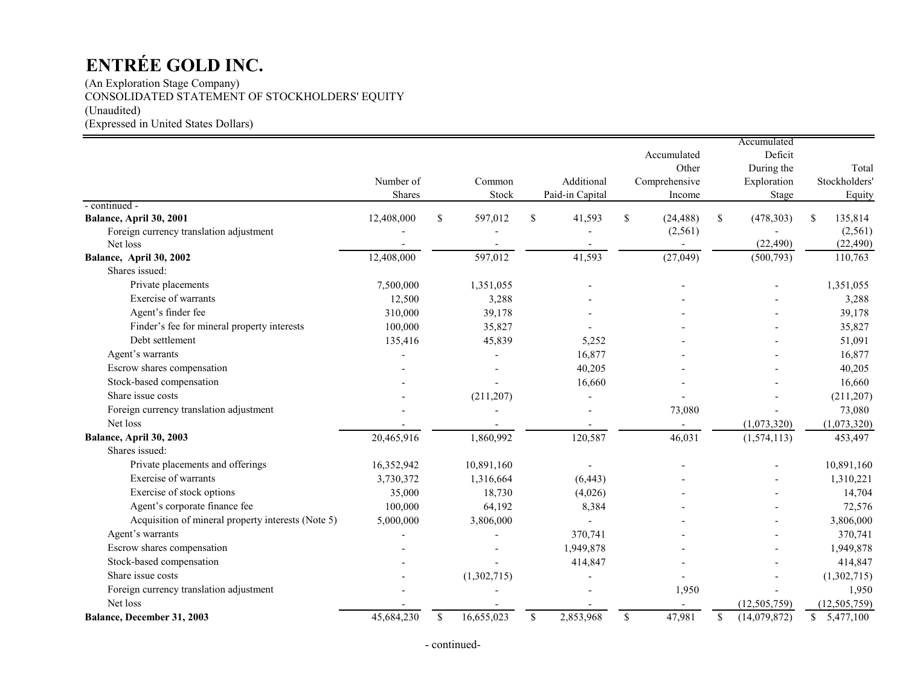(An Exploration Stage Company) CONSOLIDATED STATEMENT OF STOCKHOLDERS' EQUITY (Unaudited) (Expressed in United States Dollars)

|                                                    | Number of<br>Shares |             | Common<br>Stock | Additional<br>Paid-in Capital |              | Accumulated<br>Other<br>Comprehensive<br>Income | Accumulated<br>Deficit<br>During the<br>Exploration<br>Stage |     | Total<br>Stockholders'<br>Equity |
|----------------------------------------------------|---------------------|-------------|-----------------|-------------------------------|--------------|-------------------------------------------------|--------------------------------------------------------------|-----|----------------------------------|
| - continued -<br>Balance, April 30, 2001           | 12,408,000          | \$          | 597,012         | \$<br>41,593                  | $\mathbb{S}$ | (24, 488)                                       | \$<br>(478, 303)                                             | \$. | 135,814                          |
| Foreign currency translation adjustment            |                     |             |                 |                               |              | (2, 561)                                        |                                                              |     | (2, 561)                         |
| Net loss                                           |                     |             |                 |                               |              |                                                 | (22, 490)                                                    |     | (22, 490)                        |
| Balance, April 30, 2002                            | 12,408,000          |             | 597,012         | 41,593                        |              | (27, 049)                                       | (500, 793)                                                   |     | 110,763                          |
| Shares issued:                                     |                     |             |                 |                               |              |                                                 |                                                              |     |                                  |
| Private placements                                 | 7,500,000           |             | 1,351,055       |                               |              |                                                 |                                                              |     | 1,351,055                        |
| Exercise of warrants                               | 12,500              |             | 3,288           |                               |              |                                                 |                                                              |     | 3,288                            |
| Agent's finder fee                                 | 310,000             |             | 39,178          |                               |              |                                                 |                                                              |     | 39,178                           |
| Finder's fee for mineral property interests        | 100,000             |             | 35,827          |                               |              |                                                 |                                                              |     | 35,827                           |
| Debt settlement                                    | 135,416             |             | 45,839          | 5,252                         |              |                                                 |                                                              |     | 51,091                           |
| Agent's warrants                                   |                     |             |                 | 16,877                        |              |                                                 |                                                              |     | 16,877                           |
| Escrow shares compensation                         |                     |             |                 | 40,205                        |              |                                                 |                                                              |     | 40,205                           |
| Stock-based compensation                           |                     |             |                 | 16,660                        |              |                                                 |                                                              |     | 16,660                           |
| Share issue costs                                  |                     |             | (211, 207)      |                               |              |                                                 |                                                              |     | (211, 207)                       |
| Foreign currency translation adjustment            |                     |             |                 |                               |              | 73,080                                          |                                                              |     | 73,080                           |
| Net loss                                           |                     |             |                 |                               |              |                                                 | (1,073,320)                                                  |     | (1,073,320)                      |
| Balance, April 30, 2003                            | 20,465,916          |             | 1,860,992       | 120,587                       |              | 46,031                                          | (1,574,113)                                                  |     | 453,497                          |
| Shares issued:                                     |                     |             |                 |                               |              |                                                 |                                                              |     |                                  |
| Private placements and offerings                   | 16,352,942          |             | 10,891,160      |                               |              |                                                 |                                                              |     | 10,891,160                       |
| Exercise of warrants                               | 3,730,372           |             | 1,316,664       | (6, 443)                      |              |                                                 |                                                              |     | 1,310,221                        |
| Exercise of stock options                          | 35,000              |             | 18,730          | (4,026)                       |              |                                                 |                                                              |     | 14,704                           |
| Agent's corporate finance fee                      | 100,000             |             | 64,192          | 8,384                         |              |                                                 |                                                              |     | 72,576                           |
| Acquisition of mineral property interests (Note 5) | 5,000,000           |             | 3,806,000       |                               |              |                                                 |                                                              |     | 3,806,000                        |
| Agent's warrants                                   |                     |             |                 | 370,741                       |              |                                                 |                                                              |     | 370,741                          |
| Escrow shares compensation                         |                     |             |                 | 1,949,878                     |              |                                                 |                                                              |     | 1,949,878                        |
| Stock-based compensation                           |                     |             |                 | 414,847                       |              |                                                 |                                                              |     | 414,847                          |
| Share issue costs                                  |                     |             | (1,302,715)     |                               |              |                                                 |                                                              |     | (1,302,715)                      |
| Foreign currency translation adjustment            |                     |             |                 |                               |              | 1,950                                           |                                                              |     | 1,950                            |
| Net loss                                           |                     |             |                 |                               |              |                                                 | (12,505,759)                                                 |     | (12, 505, 759)                   |
| <b>Balance, December 31, 2003</b>                  | 45,684,230          | $\mathbf S$ | 16,655,023      | \$<br>2,853,968               | $\mathbb{S}$ | 47,981                                          | \$<br>(14,079,872)                                           |     | \$5,477,100                      |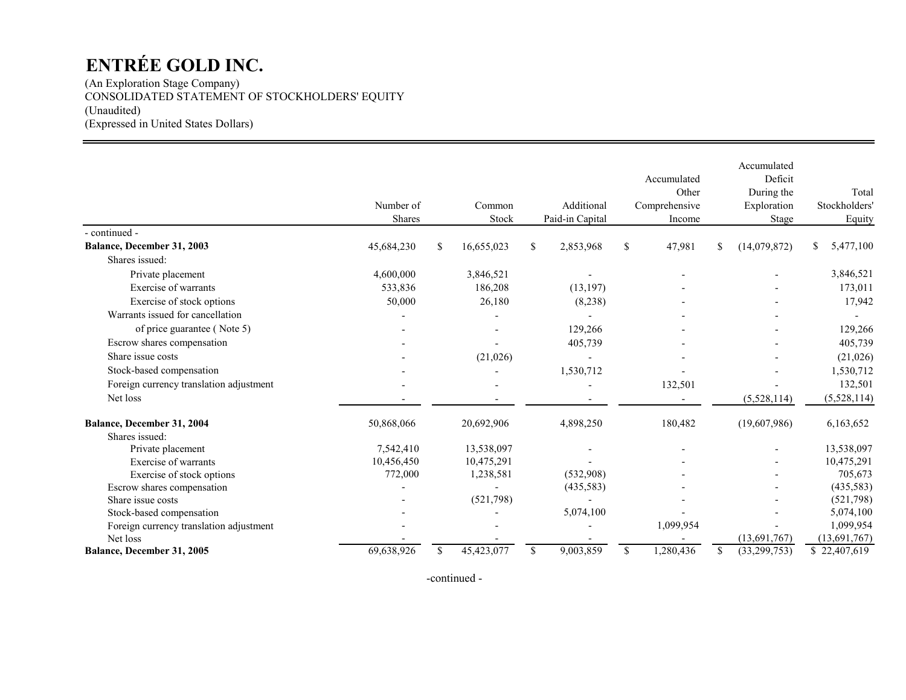(An Exploration Stage Company) CONSOLIDATED STATEMENT OF STOCKHOLDERS' EQUITY (Unaudited) (Expressed in United States Dollars)

|                                         | Number of<br>Shares |    | Common<br>Stock |              | Additional<br>Paid-in Capital |               | Accumulated<br>Other<br>Comprehensive<br>Income | Accumulated<br>Deficit<br>During the<br>Exploration<br>Stage | Total<br>Stockholders'<br>Equity |
|-----------------------------------------|---------------------|----|-----------------|--------------|-------------------------------|---------------|-------------------------------------------------|--------------------------------------------------------------|----------------------------------|
| - continued -                           |                     |    |                 |              |                               |               |                                                 |                                                              |                                  |
| Balance, December 31, 2003              | 45,684,230          | \$ | 16,655,023      | \$           | 2,853,968                     | \$            | 47,981                                          | \$<br>(14,079,872)                                           | \$<br>5,477,100                  |
| Shares issued:                          |                     |    |                 |              |                               |               |                                                 |                                                              |                                  |
| Private placement                       | 4,600,000           |    | 3,846,521       |              |                               |               |                                                 |                                                              | 3,846,521                        |
| Exercise of warrants                    | 533,836             |    | 186,208         |              | (13, 197)                     |               |                                                 |                                                              | 173,011                          |
| Exercise of stock options               | 50,000              |    | 26,180          |              | (8,238)                       |               |                                                 |                                                              | 17,942                           |
| Warrants issued for cancellation        |                     |    |                 |              |                               |               |                                                 |                                                              |                                  |
| of price guarantee (Note 5)             |                     |    |                 |              | 129,266                       |               |                                                 |                                                              | 129,266                          |
| Escrow shares compensation              |                     |    |                 |              | 405,739                       |               |                                                 |                                                              | 405,739                          |
| Share issue costs                       |                     |    | (21, 026)       |              |                               |               |                                                 |                                                              | (21,026)                         |
| Stock-based compensation                |                     |    |                 |              | 1,530,712                     |               |                                                 |                                                              | 1,530,712                        |
| Foreign currency translation adjustment |                     |    |                 |              |                               |               | 132,501                                         |                                                              | 132,501                          |
| Net loss                                |                     |    |                 |              |                               |               |                                                 | (5,528,114)                                                  | (5,528,114)                      |
| Balance, December 31, 2004              | 50,868,066          |    | 20,692,906      |              | 4,898,250                     |               | 180,482                                         | (19,607,986)                                                 | 6,163,652                        |
| Shares issued:                          |                     |    |                 |              |                               |               |                                                 |                                                              |                                  |
| Private placement                       | 7,542,410           |    | 13,538,097      |              |                               |               |                                                 |                                                              | 13,538,097                       |
| Exercise of warrants                    | 10,456,450          |    | 10,475,291      |              |                               |               |                                                 |                                                              | 10,475,291                       |
| Exercise of stock options               | 772,000             |    | 1,238,581       |              | (532,908)                     |               |                                                 |                                                              | 705,673                          |
| Escrow shares compensation              |                     |    |                 |              | (435,583)                     |               |                                                 |                                                              | (435,583)                        |
| Share issue costs                       |                     |    | (521,798)       |              |                               |               |                                                 |                                                              | (521, 798)                       |
| Stock-based compensation                |                     |    |                 |              | 5,074,100                     |               |                                                 |                                                              | 5,074,100                        |
| Foreign currency translation adjustment |                     |    |                 |              |                               |               | 1,099,954                                       |                                                              | 1,099,954                        |
| Net loss                                |                     |    |                 |              |                               |               |                                                 | (13,691,767)                                                 | (13, 691, 767)                   |
| Balance, December 31, 2005              | 69,638,926          | S  | 45,423,077      | $\mathbb{S}$ | 9,003,859                     | <sup>\$</sup> | 1,280,436                                       | \$<br>(33, 299, 753)                                         | \$22,407,619                     |

-continued -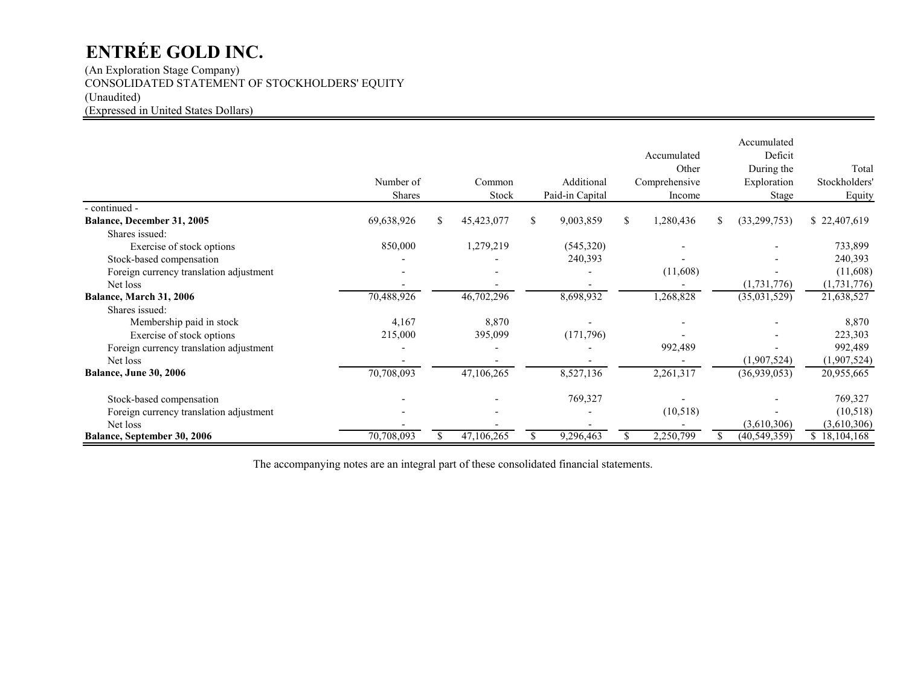(An Exploration Stage Company) CONSOLIDATED STATEMENT OF STOCKHOLDERS' EQUITY (Unaudited) (Expressed in United States Dollars)

|                                         | Number of<br>Shares |     | Common<br>Stock |    | Additional<br>Paid-in Capital |   | Accumulated<br>Other<br>Comprehensive<br>Income |   | Accumulated<br>Deficit<br>During the<br>Exploration<br>Stage | Total<br>Stockholders'<br>Equity |
|-----------------------------------------|---------------------|-----|-----------------|----|-------------------------------|---|-------------------------------------------------|---|--------------------------------------------------------------|----------------------------------|
| - continued -                           |                     |     |                 |    |                               |   |                                                 |   |                                                              |                                  |
| <b>Balance, December 31, 2005</b>       | 69,638,926          | \$. | 45,423,077      | S. | 9,003,859                     | S | 1,280,436                                       | ж | (33,299,753)                                                 | \$22,407,619                     |
| Shares issued:                          |                     |     |                 |    |                               |   |                                                 |   |                                                              |                                  |
| Exercise of stock options               | 850,000             |     | 1,279,219       |    | (545,320)                     |   |                                                 |   |                                                              | 733,899                          |
| Stock-based compensation                |                     |     |                 |    | 240,393                       |   |                                                 |   |                                                              | 240,393                          |
| Foreign currency translation adjustment |                     |     |                 |    |                               |   | (11,608)                                        |   |                                                              | (11,608)                         |
| Net loss                                |                     |     |                 |    |                               |   |                                                 |   | (1,731,776)                                                  | (1,731,776)                      |
| Balance, March 31, 2006                 | 70,488,926          |     | 46,702,296      |    | 8,698,932                     |   | 1,268,828                                       |   | (35,031,529)                                                 | 21,638,527                       |
| Shares issued:                          |                     |     |                 |    |                               |   |                                                 |   |                                                              |                                  |
| Membership paid in stock                | 4,167               |     | 8,870           |    |                               |   |                                                 |   |                                                              | 8,870                            |
| Exercise of stock options               | 215,000             |     | 395,099         |    | (171, 796)                    |   |                                                 |   |                                                              | 223,303                          |
| Foreign currency translation adjustment |                     |     |                 |    |                               |   | 992,489                                         |   |                                                              | 992,489                          |
| Net loss                                |                     |     |                 |    |                               |   |                                                 |   | (1,907,524)                                                  | (1,907,524)                      |
| <b>Balance, June 30, 2006</b>           | 70,708,093          |     | 47,106,265      |    | 8,527,136                     |   | 2,261,317                                       |   | (36,939,053)                                                 | 20,955,665                       |
| Stock-based compensation                |                     |     |                 |    | 769,327                       |   |                                                 |   |                                                              | 769,327                          |
| Foreign currency translation adjustment |                     |     |                 |    |                               |   | (10, 518)                                       |   |                                                              | (10,518)                         |
| Net loss                                |                     |     |                 |    |                               |   |                                                 |   | (3,610,306)                                                  | (3,610,306)                      |
| <b>Balance, September 30, 2006</b>      | 70,708,093          |     | 47,106,265      | \$ | 9,296,463                     |   | 2,250,799                                       |   | (40, 549, 359)                                               | \$18,104,168                     |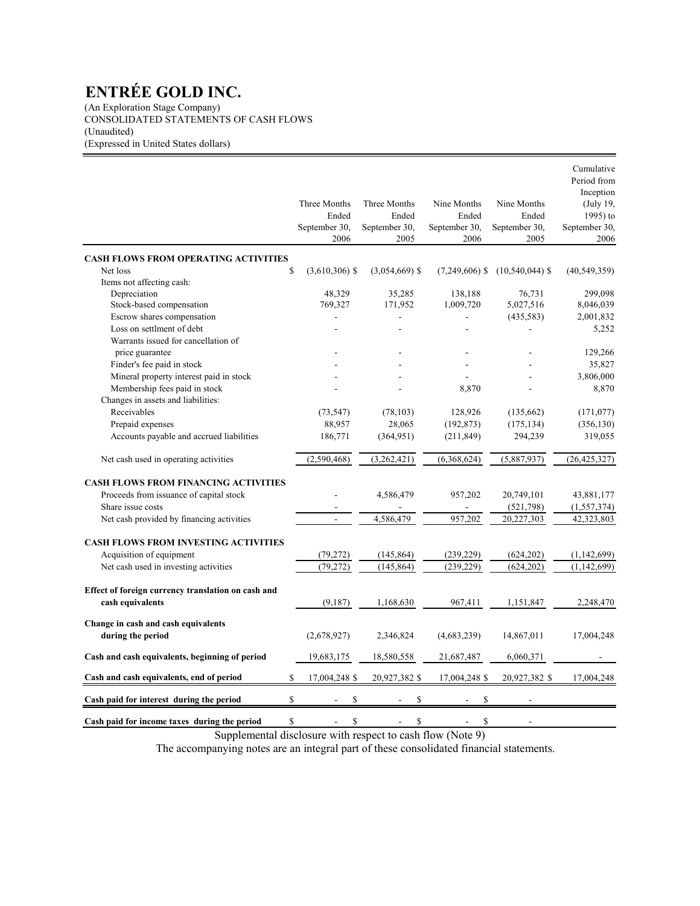(An Exploration Stage Company) CONSOLIDATED STATEMENTS OF CASH FLOWS (Unaudited) (Expressed in United States dollars)

|                                                                        | Three Months<br>Ended<br>September 30,<br>2006 | Three Months<br>Ended<br>September 30,<br>2005 | Nine Months<br>Ended<br>September 30,<br>2006 | Nine Months<br>Ended<br>September 30,<br>2005 | Cumulative<br>Period from<br>Inception<br>(July 19,<br>1995) to<br>September 30,<br>2006 |
|------------------------------------------------------------------------|------------------------------------------------|------------------------------------------------|-----------------------------------------------|-----------------------------------------------|------------------------------------------------------------------------------------------|
| <b>CASH FLOWS FROM OPERATING ACTIVITIES</b>                            |                                                |                                                |                                               |                                               |                                                                                          |
| $\mathbb{S}$<br>Net loss                                               | $(3,610,306)$ \$                               | $(3,054,669)$ \$                               | $(7,249,606)$ \$                              | $(10,540,044)$ \$                             | (40, 549, 359)                                                                           |
| Items not affecting cash:                                              |                                                |                                                |                                               |                                               |                                                                                          |
| Depreciation                                                           | 48,329                                         | 35,285                                         | 138,188                                       | 76,731                                        | 299.098                                                                                  |
| Stock-based compensation                                               | 769,327                                        | 171,952                                        | 1,009,720                                     | 5,027,516                                     | 8,046,039                                                                                |
| Escrow shares compensation                                             |                                                |                                                |                                               | (435,583)                                     | 2,001,832                                                                                |
| Loss on settlment of debt                                              |                                                |                                                |                                               | L,                                            | 5,252                                                                                    |
| Warrants issued for cancellation of                                    |                                                |                                                |                                               |                                               |                                                                                          |
| price guarantee                                                        |                                                |                                                |                                               |                                               | 129,266                                                                                  |
| Finder's fee paid in stock                                             |                                                |                                                |                                               |                                               | 35,827                                                                                   |
| Mineral property interest paid in stock                                |                                                |                                                |                                               |                                               | 3,806,000                                                                                |
| Membership fees paid in stock                                          |                                                |                                                | 8,870                                         |                                               | 8,870                                                                                    |
| Changes in assets and liabilities:                                     |                                                |                                                |                                               |                                               |                                                                                          |
| Receivables                                                            | (73, 547)                                      | (78, 103)                                      | 128,926                                       | (135,662)                                     | (171, 077)                                                                               |
| Prepaid expenses                                                       | 88,957                                         | 28,065                                         | (192, 873)                                    | (175, 134)                                    | (356, 130)                                                                               |
| Accounts payable and accrued liabilities                               | 186,771                                        | (364, 951)                                     | (211, 849)                                    | 294,239                                       | 319,055                                                                                  |
| Net cash used in operating activities                                  | (2,590,468)                                    | (3,262,421)                                    | (6,368,624)                                   | (5,887,937)                                   | (26, 425, 327)                                                                           |
| <b>CASH FLOWS FROM FINANCING ACTIVITIES</b>                            |                                                |                                                |                                               |                                               |                                                                                          |
| Proceeds from issuance of capital stock                                |                                                | 4,586,479                                      | 957,202                                       | 20,749,101                                    | 43,881,177                                                                               |
| Share issue costs                                                      |                                                |                                                |                                               | (521,798)                                     | (1, 557, 374)                                                                            |
| Net cash provided by financing activities                              | $\overline{a}$                                 | 4,586,479                                      | 957,202                                       | 20,227,303                                    | 42,323,803                                                                               |
|                                                                        |                                                |                                                |                                               |                                               |                                                                                          |
| <b>CASH FLOWS FROM INVESTING ACTIVITIES</b>                            |                                                |                                                |                                               |                                               |                                                                                          |
| Acquisition of equipment                                               | (79,272)                                       | (145, 864)                                     | (239, 229)                                    | (624, 202)                                    | (1,142,699)                                                                              |
| Net cash used in investing activities                                  | (79, 272)                                      | (145, 864)                                     | (239, 229)                                    | (624, 202)                                    | (1, 142, 699)                                                                            |
| Effect of foreign currency translation on cash and<br>cash equivalents | (9,187)                                        | 1,168,630                                      | 967,411                                       | 1,151,847                                     | 2,248,470                                                                                |
| Change in cash and cash equivalents                                    |                                                |                                                |                                               |                                               |                                                                                          |
| during the period                                                      | (2,678,927)                                    | 2,346,824                                      | (4,683,239)                                   | 14,867,011                                    | 17,004,248                                                                               |
| Cash and cash equivalents, beginning of period                         | 19,683,175                                     | 18,580,558                                     | 21,687,487                                    | 6,060,371                                     |                                                                                          |
| $\mathbf S$<br>Cash and cash equivalents, end of period                | 17,004,248 \$                                  | 20,927,382 \$                                  | 17,004,248 \$                                 | 20,927,382 \$                                 | 17,004,248                                                                               |
| $\mathbf S$<br>Cash paid for interest during the period                | \$                                             | S                                              | \$                                            |                                               |                                                                                          |
| \$<br>Cash paid for income taxes during the period                     | \$                                             | \$                                             | \$                                            |                                               |                                                                                          |

Supplemental disclosure with respect to cash flow (Note 9)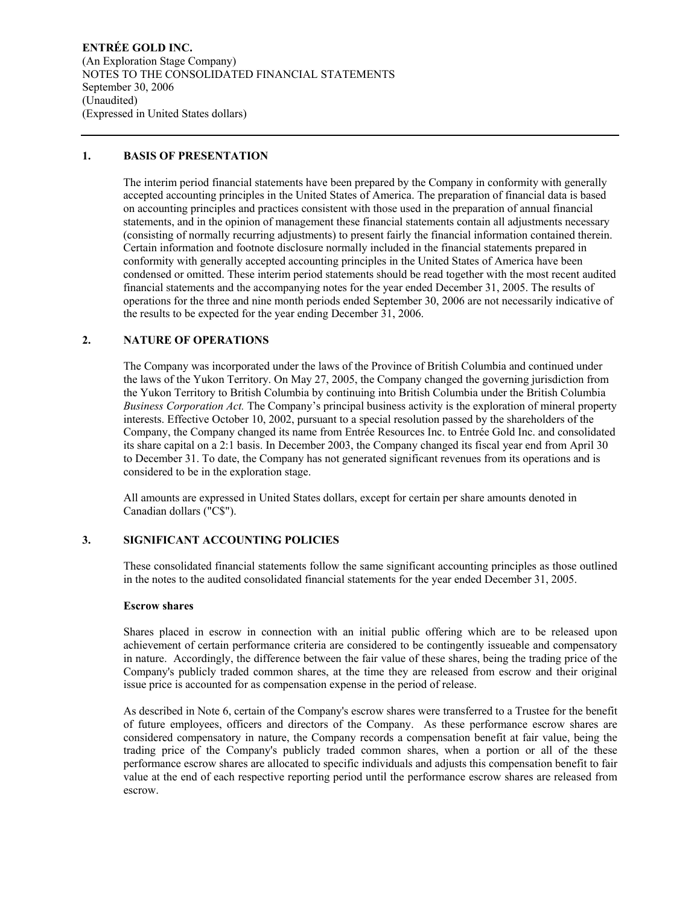**ENTRÉE GOLD INC.**  (An Exploration Stage Company) NOTES TO THE CONSOLIDATED FINANCIAL STATEMENTS September 30, 2006 (Unaudited) (Expressed in United States dollars)

## **1. BASIS OF PRESENTATION**

The interim period financial statements have been prepared by the Company in conformity with generally accepted accounting principles in the United States of America. The preparation of financial data is based on accounting principles and practices consistent with those used in the preparation of annual financial statements, and in the opinion of management these financial statements contain all adjustments necessary (consisting of normally recurring adjustments) to present fairly the financial information contained therein. Certain information and footnote disclosure normally included in the financial statements prepared in conformity with generally accepted accounting principles in the United States of America have been condensed or omitted. These interim period statements should be read together with the most recent audited financial statements and the accompanying notes for the year ended December 31, 2005. The results of operations for the three and nine month periods ended September 30, 2006 are not necessarily indicative of the results to be expected for the year ending December 31, 2006.

# **2. NATURE OF OPERATIONS**

The Company was incorporated under the laws of the Province of British Columbia and continued under the laws of the Yukon Territory. On May 27, 2005, the Company changed the governing jurisdiction from the Yukon Territory to British Columbia by continuing into British Columbia under the British Columbia *Business Corporation Act.* The Company's principal business activity is the exploration of mineral property interests. Effective October 10, 2002, pursuant to a special resolution passed by the shareholders of the Company, the Company changed its name from Entrée Resources Inc. to Entrée Gold Inc. and consolidated its share capital on a 2:1 basis. In December 2003, the Company changed its fiscal year end from April 30 to December 31. To date, the Company has not generated significant revenues from its operations and is considered to be in the exploration stage.

All amounts are expressed in United States dollars, except for certain per share amounts denoted in Canadian dollars ("C\$").

### **3. SIGNIFICANT ACCOUNTING POLICIES**

These consolidated financial statements follow the same significant accounting principles as those outlined in the notes to the audited consolidated financial statements for the year ended December 31, 2005.

### **Escrow shares**

Shares placed in escrow in connection with an initial public offering which are to be released upon achievement of certain performance criteria are considered to be contingently issueable and compensatory in nature. Accordingly, the difference between the fair value of these shares, being the trading price of the Company's publicly traded common shares, at the time they are released from escrow and their original issue price is accounted for as compensation expense in the period of release.

As described in Note 6, certain of the Company's escrow shares were transferred to a Trustee for the benefit of future employees, officers and directors of the Company. As these performance escrow shares are considered compensatory in nature, the Company records a compensation benefit at fair value, being the trading price of the Company's publicly traded common shares, when a portion or all of the these performance escrow shares are allocated to specific individuals and adjusts this compensation benefit to fair value at the end of each respective reporting period until the performance escrow shares are released from escrow.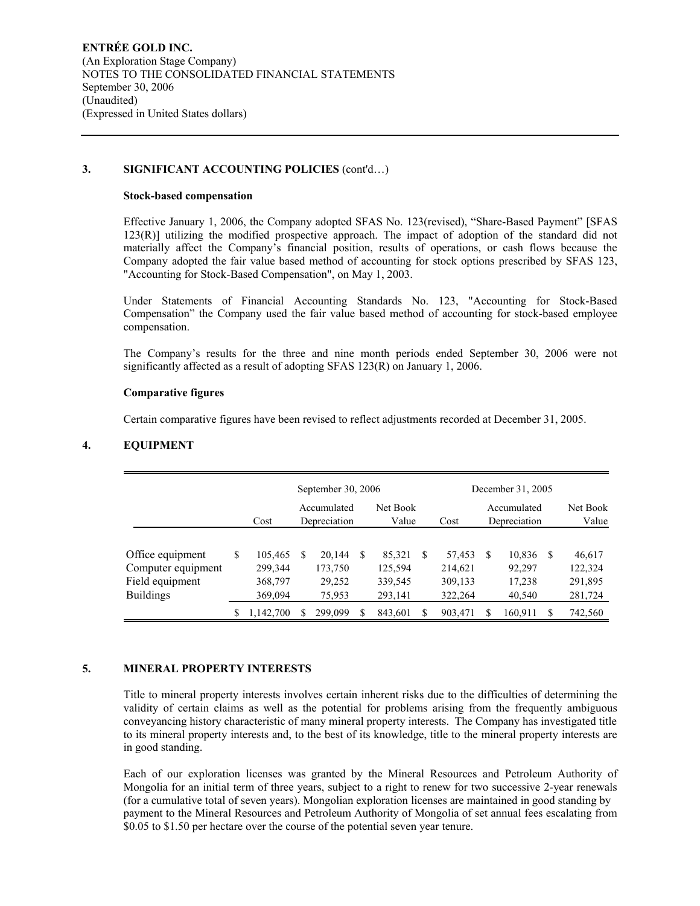## **3. SIGNIFICANT ACCOUNTING POLICIES** (cont'd…)

#### **Stock-based compensation**

Effective January 1, 2006, the Company adopted SFAS No. 123(revised), "Share-Based Payment" [SFAS 123(R)] utilizing the modified prospective approach. The impact of adoption of the standard did not materially affect the Company's financial position, results of operations, or cash flows because the Company adopted the fair value based method of accounting for stock options prescribed by SFAS 123, "Accounting for Stock-Based Compensation", on May 1, 2003.

Under Statements of Financial Accounting Standards No. 123, "Accounting for Stock-Based Compensation" the Company used the fair value based method of accounting for stock-based employee compensation.

The Company's results for the three and nine month periods ended September 30, 2006 were not significantly affected as a result of adopting SFAS 123(R) on January 1, 2006.

### **Comparative figures**

Certain comparative figures have been revised to reflect adjustments recorded at December 31, 2005.

## **4. EQUIPMENT**

|                    |   |           |   | September 30, 2006          |                   |     |         |    | December 31, 2005           |     |                   |
|--------------------|---|-----------|---|-----------------------------|-------------------|-----|---------|----|-----------------------------|-----|-------------------|
|                    |   | Cost      |   | Accumulated<br>Depreciation | Net Book<br>Value |     | Cost    |    | Accumulated<br>Depreciation |     | Net Book<br>Value |
|                    |   |           |   |                             |                   |     |         |    |                             |     |                   |
| Office equipment   | S | 105,465   | S | 20.144                      | 85,321            | \$. | 57,453  | -S | 10,836                      | -S  | 46,617            |
| Computer equipment |   | 299,344   |   | 173,750                     | 125,594           |     | 214,621 |    | 92,297                      |     | 122,324           |
| Field equipment    |   | 368,797   |   | 29,252                      | 339,545           |     | 309,133 |    | 17,238                      |     | 291,895           |
| <b>Buildings</b>   |   | 369,094   |   | 75,953                      | 293,141           |     | 322,264 |    | 40,540                      |     | 281,724           |
|                    | S | 1,142,700 |   | 299,099                     | 843,601           | S   | 903,471 |    | 160,911                     | \$. | 742,560           |

## **5. MINERAL PROPERTY INTERESTS**

Title to mineral property interests involves certain inherent risks due to the difficulties of determining the validity of certain claims as well as the potential for problems arising from the frequently ambiguous conveyancing history characteristic of many mineral property interests. The Company has investigated title to its mineral property interests and, to the best of its knowledge, title to the mineral property interests are in good standing.

Each of our exploration licenses was granted by the Mineral Resources and Petroleum Authority of Mongolia for an initial term of three years, subject to a right to renew for two successive 2-year renewals (for a cumulative total of seven years). Mongolian exploration licenses are maintained in good standing by payment to the Mineral Resources and Petroleum Authority of Mongolia of set annual fees escalating from \$0.05 to \$1.50 per hectare over the course of the potential seven year tenure.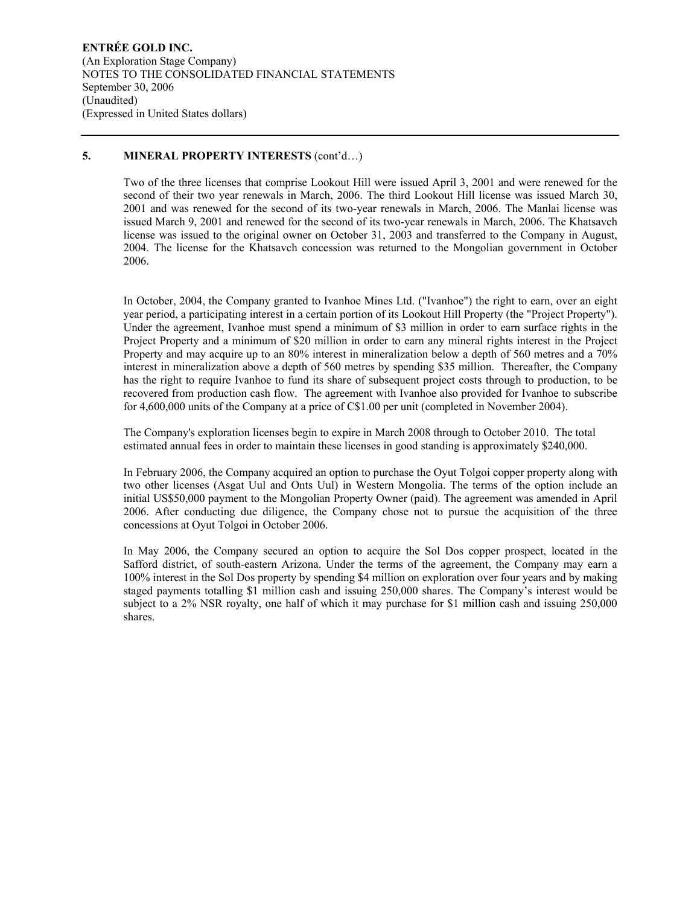## **5. MINERAL PROPERTY INTERESTS** (cont'd…)

Two of the three licenses that comprise Lookout Hill were issued April 3, 2001 and were renewed for the second of their two year renewals in March, 2006. The third Lookout Hill license was issued March 30, 2001 and was renewed for the second of its two-year renewals in March, 2006. The Manlai license was issued March 9, 2001 and renewed for the second of its two-year renewals in March, 2006. The Khatsavch license was issued to the original owner on October 31, 2003 and transferred to the Company in August, 2004. The license for the Khatsavch concession was returned to the Mongolian government in October 2006.

In October, 2004, the Company granted to Ivanhoe Mines Ltd. ("Ivanhoe") the right to earn, over an eight year period, a participating interest in a certain portion of its Lookout Hill Property (the "Project Property"). Under the agreement, Ivanhoe must spend a minimum of \$3 million in order to earn surface rights in the Project Property and a minimum of \$20 million in order to earn any mineral rights interest in the Project Property and may acquire up to an 80% interest in mineralization below a depth of 560 metres and a 70% interest in mineralization above a depth of 560 metres by spending \$35 million. Thereafter, the Company has the right to require Ivanhoe to fund its share of subsequent project costs through to production, to be recovered from production cash flow. The agreement with Ivanhoe also provided for Ivanhoe to subscribe for 4,600,000 units of the Company at a price of C\$1.00 per unit (completed in November 2004).

The Company's exploration licenses begin to expire in March 2008 through to October 2010. The total estimated annual fees in order to maintain these licenses in good standing is approximately \$240,000.

In February 2006, the Company acquired an option to purchase the Oyut Tolgoi copper property along with two other licenses (Asgat Uul and Onts Uul) in Western Mongolia. The terms of the option include an initial US\$50,000 payment to the Mongolian Property Owner (paid). The agreement was amended in April 2006. After conducting due diligence, the Company chose not to pursue the acquisition of the three concessions at Oyut Tolgoi in October 2006.

In May 2006, the Company secured an option to acquire the Sol Dos copper prospect, located in the Safford district, of south-eastern Arizona. Under the terms of the agreement, the Company may earn a 100% interest in the Sol Dos property by spending \$4 million on exploration over four years and by making staged payments totalling \$1 million cash and issuing 250,000 shares. The Company's interest would be subject to a 2% NSR royalty, one half of which it may purchase for \$1 million cash and issuing 250,000 shares.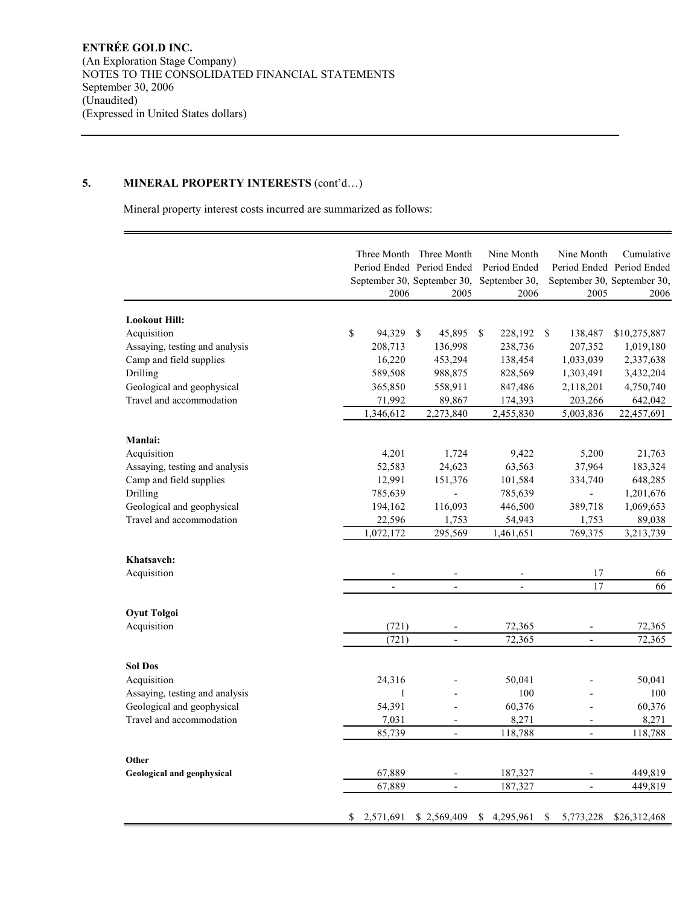# **5. MINERAL PROPERTY INTERESTS** (cont'd…)

Mineral property interest costs incurred are summarized as follows:

|                                     |                 | Three Month Three Month<br>Period Ended Period Ended | Nine Month<br>Period Ended | Nine Month               | Cumulative<br>Period Ended Period Ended |
|-------------------------------------|-----------------|------------------------------------------------------|----------------------------|--------------------------|-----------------------------------------|
|                                     |                 | September 30, September 30,                          | September 30,              |                          | September 30, September 30,             |
|                                     | 2006            | 2005                                                 | 2006                       | 2005                     | 2006                                    |
| <b>Lookout Hill:</b>                |                 |                                                      |                            |                          |                                         |
| Acquisition                         | \$<br>94,329    | \$<br>45,895                                         | 228,192<br>\$.             | -S<br>138,487            | \$10,275,887                            |
| Assaying, testing and analysis      | 208,713         | 136,998                                              | 238,736                    | 207,352                  | 1,019,180                               |
| Camp and field supplies             | 16,220          | 453,294                                              | 138,454                    | 1,033,039                | 2,337,638                               |
| Drilling                            | 589,508         | 988,875                                              | 828,569                    | 1,303,491                | 3,432,204                               |
| Geological and geophysical          | 365,850         | 558,911                                              | 847,486                    | 2,118,201                | 4,750,740                               |
| Travel and accommodation            | 71,992          | 89,867                                               | 174,393                    | 203,266                  | 642,042                                 |
|                                     | 1,346,612       | 2,273,840                                            | 2,455,830                  | 5,003,836                | 22,457,691                              |
| Manlai:                             |                 |                                                      |                            |                          |                                         |
| Acquisition                         | 4,201           | 1,724                                                | 9,422                      | 5,200                    | 21,763                                  |
| Assaying, testing and analysis      | 52,583          | 24,623                                               | 63,563                     | 37,964                   | 183,324                                 |
| Camp and field supplies             | 12,991          | 151,376                                              | 101,584                    | 334,740                  | 648,285                                 |
| Drilling                            | 785,639         |                                                      | 785,639                    |                          | 1,201,676                               |
| Geological and geophysical          | 194,162         | 116,093                                              | 446,500                    | 389,718                  | 1,069,653                               |
| Travel and accommodation            | 22,596          | 1,753                                                | 54,943                     | 1,753                    | 89,038                                  |
|                                     | 1,072,172       | 295,569                                              | 1,461,651                  | 769,375                  | 3,213,739                               |
| Khatsavch:                          |                 |                                                      |                            |                          |                                         |
| Acquisition                         |                 |                                                      |                            | 17                       | 66                                      |
|                                     |                 |                                                      |                            | 17                       | 66                                      |
|                                     |                 |                                                      |                            |                          |                                         |
| <b>Oyut Tolgoi</b>                  |                 |                                                      |                            |                          |                                         |
| Acquisition                         | (721)           |                                                      | 72,365                     |                          | 72,365                                  |
|                                     | (721)           | $\overline{\phantom{a}}$                             | 72,365                     | $\overline{\phantom{a}}$ | 72,365                                  |
| <b>Sol Dos</b>                      |                 |                                                      |                            |                          |                                         |
| Acquisition                         | 24,316          |                                                      | 50,041                     |                          | 50,041                                  |
| Assaying, testing and analysis      | 1               |                                                      | 100                        |                          | 100                                     |
| Geological and geophysical          | 54,391          |                                                      | 60,376                     |                          | 60,376                                  |
| Travel and accommodation            | 7,031           | $\overline{a}$                                       | 8,271                      |                          | 8,271                                   |
|                                     | 85,739          | $\overline{\phantom{a}}$                             | 118,788                    | $\overline{\phantom{a}}$ | 118,788                                 |
|                                     |                 |                                                      |                            |                          |                                         |
| Other<br>Geological and geophysical | 67,889          | $\overline{a}$                                       | 187,327                    | $\overline{a}$           | 449,819                                 |
|                                     | 67,889          | $\overline{a}$                                       | 187,327                    | $\overline{a}$           | 449,819                                 |
|                                     | \$<br>2,571,691 | \$2,569,409                                          | \$<br>4,295,961            | \$<br>5,773,228          | \$26,312,468                            |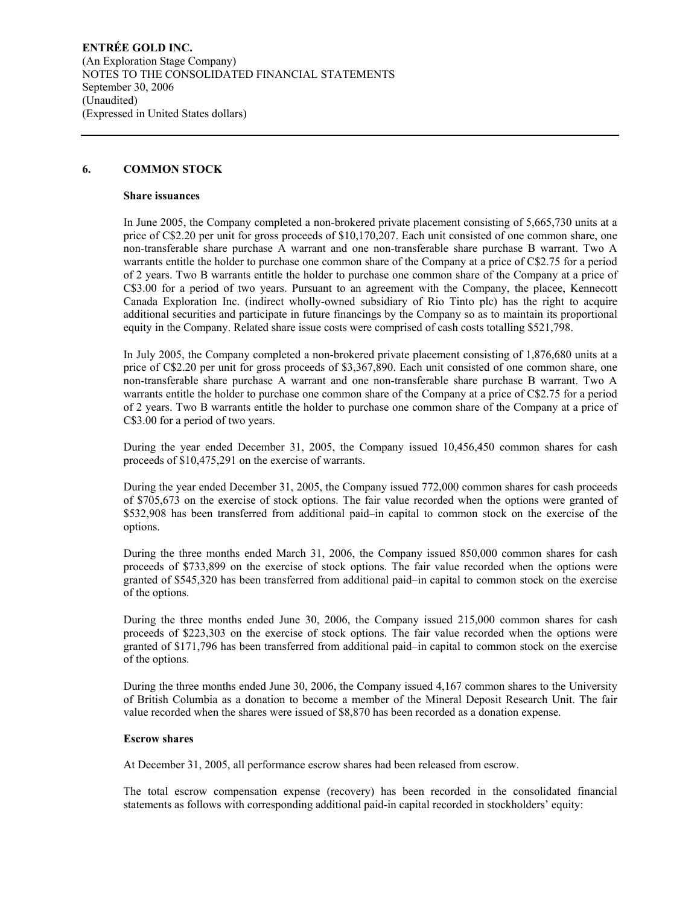**ENTRÉE GOLD INC.**  (An Exploration Stage Company) NOTES TO THE CONSOLIDATED FINANCIAL STATEMENTS September 30, 2006 (Unaudited) (Expressed in United States dollars)

## **6. COMMON STOCK**

#### **Share issuances**

In June 2005, the Company completed a non-brokered private placement consisting of 5,665,730 units at a price of C\$2.20 per unit for gross proceeds of \$10,170,207. Each unit consisted of one common share, one non-transferable share purchase A warrant and one non-transferable share purchase B warrant. Two A warrants entitle the holder to purchase one common share of the Company at a price of C\$2.75 for a period of 2 years. Two B warrants entitle the holder to purchase one common share of the Company at a price of C\$3.00 for a period of two years. Pursuant to an agreement with the Company, the placee, Kennecott Canada Exploration Inc. (indirect wholly-owned subsidiary of Rio Tinto plc) has the right to acquire additional securities and participate in future financings by the Company so as to maintain its proportional equity in the Company. Related share issue costs were comprised of cash costs totalling \$521,798.

In July 2005, the Company completed a non-brokered private placement consisting of 1,876,680 units at a price of C\$2.20 per unit for gross proceeds of \$3,367,890. Each unit consisted of one common share, one non-transferable share purchase A warrant and one non-transferable share purchase B warrant. Two A warrants entitle the holder to purchase one common share of the Company at a price of C\$2.75 for a period of 2 years. Two B warrants entitle the holder to purchase one common share of the Company at a price of C\$3.00 for a period of two years.

During the year ended December 31, 2005, the Company issued 10,456,450 common shares for cash proceeds of \$10,475,291 on the exercise of warrants.

During the year ended December 31, 2005, the Company issued 772,000 common shares for cash proceeds of \$705,673 on the exercise of stock options. The fair value recorded when the options were granted of \$532,908 has been transferred from additional paid–in capital to common stock on the exercise of the options.

During the three months ended March 31, 2006, the Company issued 850,000 common shares for cash proceeds of \$733,899 on the exercise of stock options. The fair value recorded when the options were granted of \$545,320 has been transferred from additional paid–in capital to common stock on the exercise of the options.

During the three months ended June 30, 2006, the Company issued 215,000 common shares for cash proceeds of \$223,303 on the exercise of stock options. The fair value recorded when the options were granted of \$171,796 has been transferred from additional paid–in capital to common stock on the exercise of the options.

During the three months ended June 30, 2006, the Company issued 4,167 common shares to the University of British Columbia as a donation to become a member of the Mineral Deposit Research Unit. The fair value recorded when the shares were issued of \$8,870 has been recorded as a donation expense.

### **Escrow shares**

At December 31, 2005, all performance escrow shares had been released from escrow.

The total escrow compensation expense (recovery) has been recorded in the consolidated financial statements as follows with corresponding additional paid-in capital recorded in stockholders' equity: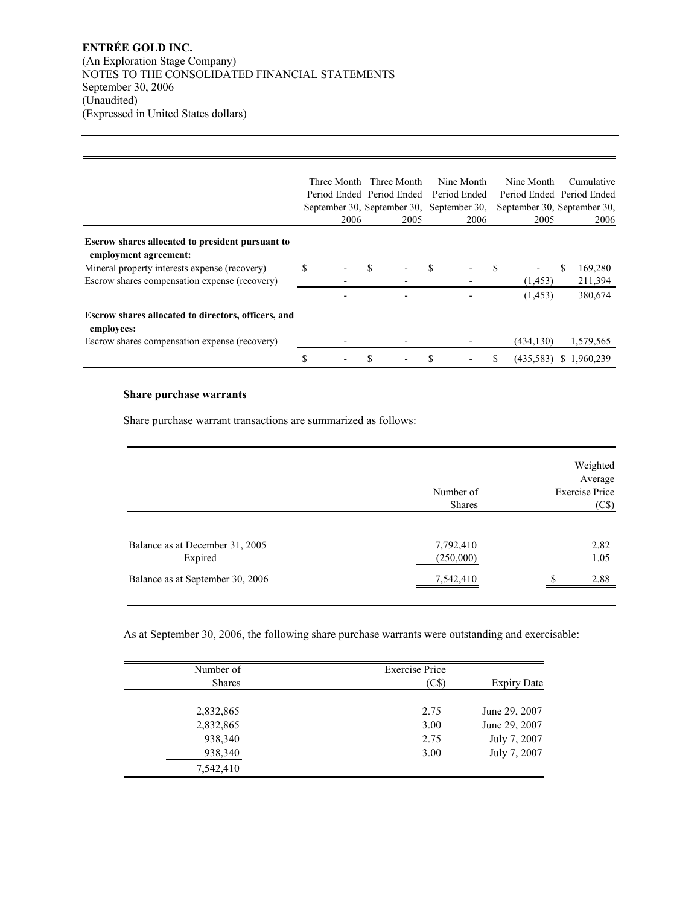## **ENTRÉE GOLD INC.**  (An Exploration Stage Company) NOTES TO THE CONSOLIDATED FINANCIAL STATEMENTS September 30, 2006 (Unaudited) (Expressed in United States dollars)

|                                                                                  | Three Month<br>Period Ended Period Ended<br>2006 |   | Three Month<br>2005 | Nine Month<br>Period Ended<br>September 30, September 30, September 30, | 2006 |    | Nine Month<br>2005 | Cumulative<br>Period Ended Period Ended<br>September 30, September 30,<br>2006 |
|----------------------------------------------------------------------------------|--------------------------------------------------|---|---------------------|-------------------------------------------------------------------------|------|----|--------------------|--------------------------------------------------------------------------------|
| <b>Escrow shares allocated to president pursuant to</b><br>employment agreement: |                                                  |   |                     |                                                                         |      |    |                    |                                                                                |
| Mineral property interests expense (recovery)                                    | \$                                               | S |                     |                                                                         |      | -S |                    | 169,280                                                                        |
| Escrow shares compensation expense (recovery)                                    |                                                  |   |                     |                                                                         |      |    | (1, 453)           | 211,394                                                                        |
|                                                                                  |                                                  |   |                     |                                                                         |      |    | (1, 453)           | 380,674                                                                        |
| Escrow shares allocated to directors, officers, and<br>employees:                |                                                  |   |                     |                                                                         |      |    |                    |                                                                                |
| Escrow shares compensation expense (recovery)                                    |                                                  |   |                     |                                                                         |      |    | (434, 130)         | 1,579,565                                                                      |
|                                                                                  |                                                  |   |                     |                                                                         |      |    | (435,583)          | \$1,960,239                                                                    |

## **Share purchase warrants**

Share purchase warrant transactions are summarized as follows:

|                                            | Number of<br><b>Shares</b> | Weighted<br>Average<br><b>Exercise Price</b><br>(C\$) |
|--------------------------------------------|----------------------------|-------------------------------------------------------|
| Balance as at December 31, 2005<br>Expired | 7,792,410<br>(250,000)     | 2.82<br>1.05                                          |
| Balance as at September 30, 2006           | 7,542,410                  | 2.88<br>Φ                                             |

As at September 30, 2006, the following share purchase warrants were outstanding and exercisable:

| $\overline{\text{Number of}}$<br><b>Shares</b> | <b>Exercise Price</b><br>(C\$) | <b>Expiry Date</b> |
|------------------------------------------------|--------------------------------|--------------------|
|                                                |                                |                    |
| 2,832,865                                      | 2.75                           | June 29, 2007      |
| 2,832,865                                      | 3.00                           | June 29, 2007      |
| 938,340                                        | 2.75                           | July 7, 2007       |
| 938,340                                        | 3.00                           | July 7, 2007       |
| 7,542,410                                      |                                |                    |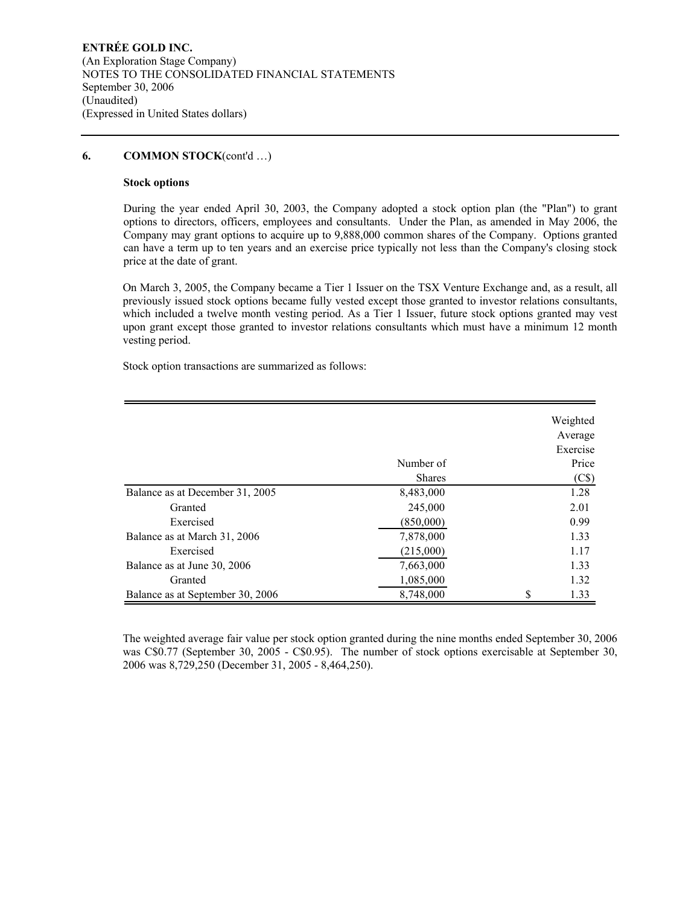## **6. COMMON STOCK**(cont'd …)

### **Stock options**

During the year ended April 30, 2003, the Company adopted a stock option plan (the "Plan") to grant options to directors, officers, employees and consultants. Under the Plan, as amended in May 2006, the Company may grant options to acquire up to 9,888,000 common shares of the Company. Options granted can have a term up to ten years and an exercise price typically not less than the Company's closing stock price at the date of grant.

On March 3, 2005, the Company became a Tier 1 Issuer on the TSX Venture Exchange and, as a result, all previously issued stock options became fully vested except those granted to investor relations consultants, which included a twelve month vesting period. As a Tier 1 Issuer, future stock options granted may vest upon grant except those granted to investor relations consultants which must have a minimum 12 month vesting period.

Stock option transactions are summarized as follows:

|                                  |               | Weighted          |
|----------------------------------|---------------|-------------------|
|                                  |               | Average           |
|                                  |               | Exercise          |
|                                  | Number of     | Price             |
|                                  | <b>Shares</b> | (C <sub>s</sub> ) |
| Balance as at December 31, 2005  | 8,483,000     | 1.28              |
| Granted                          | 245,000       | 2.01              |
| Exercised                        | (850,000)     | 0.99              |
| Balance as at March 31, 2006     | 7,878,000     | 1.33              |
| Exercised                        | (215,000)     | 1.17              |
| Balance as at June 30, 2006      | 7,663,000     | 1.33              |
| Granted                          | 1,085,000     | 1.32              |
| Balance as at September 30, 2006 | 8,748,000     | \$<br>1.33        |

The weighted average fair value per stock option granted during the nine months ended September 30, 2006 was C\$0.77 (September 30, 2005 - C\$0.95). The number of stock options exercisable at September 30, 2006 was 8,729,250 (December 31, 2005 - 8,464,250).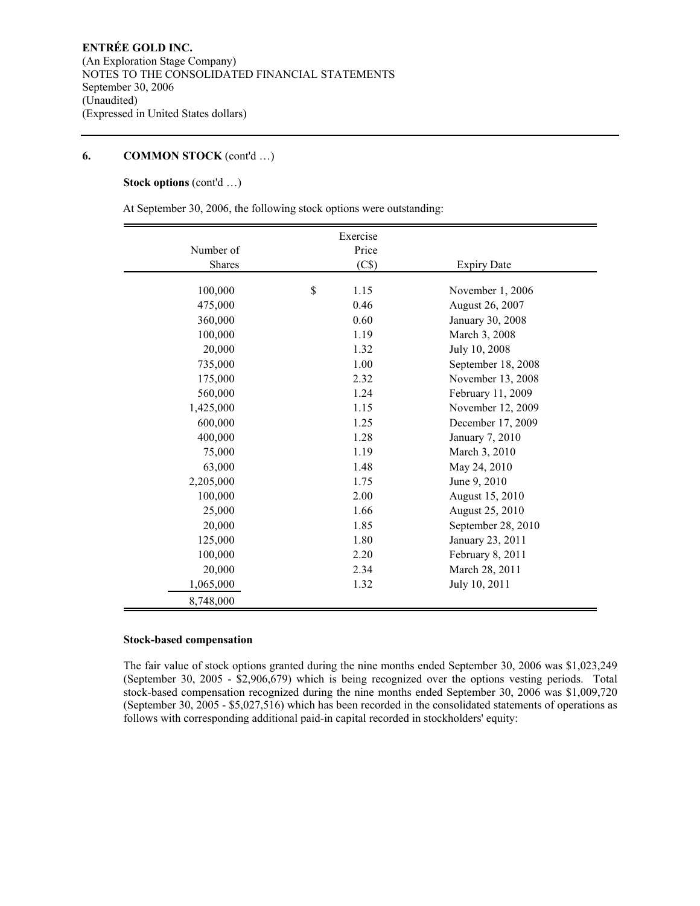# **6. COMMON STOCK** (cont'd …)

# **Stock options** (cont'd …)

At September 30, 2006, the following stock options were outstanding:

|           | Exercise   |                    |
|-----------|------------|--------------------|
| Number of | Price      |                    |
| Shares    | (C\$)      | <b>Expiry Date</b> |
|           |            |                    |
| 100,000   | \$<br>1.15 | November 1, 2006   |
| 475,000   | 0.46       | August 26, 2007    |
| 360,000   | 0.60       | January 30, 2008   |
| 100,000   | 1.19       | March 3, 2008      |
| 20,000    | 1.32       | July 10, 2008      |
| 735,000   | 1.00       | September 18, 2008 |
| 175,000   | 2.32       | November 13, 2008  |
| 560,000   | 1.24       | February 11, 2009  |
| 1,425,000 | 1.15       | November 12, 2009  |
| 600,000   | 1.25       | December 17, 2009  |
| 400,000   | 1.28       | January 7, 2010    |
| 75,000    | 1.19       | March 3, 2010      |
| 63,000    | 1.48       | May 24, 2010       |
| 2,205,000 | 1.75       | June 9, 2010       |
| 100,000   | 2.00       | August 15, 2010    |
| 25,000    | 1.66       | August 25, 2010    |
| 20,000    | 1.85       | September 28, 2010 |
| 125,000   | 1.80       | January 23, 2011   |
| 100,000   | 2.20       | February 8, 2011   |
| 20,000    | 2.34       | March 28, 2011     |
| 1,065,000 | 1.32       | July 10, 2011      |
|           |            |                    |
| 8,748,000 |            |                    |

#### **Stock-based compensation**

The fair value of stock options granted during the nine months ended September 30, 2006 was \$1,023,249 (September 30, 2005 - \$2,906,679) which is being recognized over the options vesting periods. Total stock-based compensation recognized during the nine months ended September 30, 2006 was \$1,009,720 (September 30, 2005 - \$5,027,516) which has been recorded in the consolidated statements of operations as follows with corresponding additional paid-in capital recorded in stockholders' equity: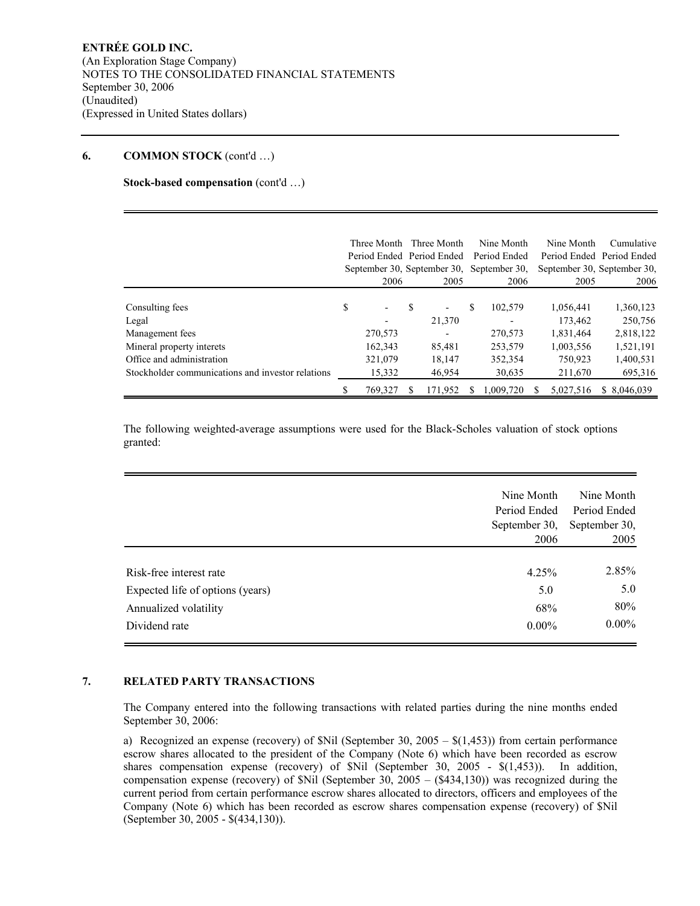### **6. COMMON STOCK** (cont'd …)

**Stock-based compensation** (cont'd …)

|                                                   | Three Month<br>2006            |   | Three Month<br>Period Ended Period Ended<br>September 30, September 30,<br>2005 |   | Nine Month<br>Period Ended<br>September 30,<br>2006 | Nine Month<br>2005 | Cumulative<br>Period Ended Period Ended<br>September 30, September 30,<br>2006 |
|---------------------------------------------------|--------------------------------|---|---------------------------------------------------------------------------------|---|-----------------------------------------------------|--------------------|--------------------------------------------------------------------------------|
|                                                   |                                |   |                                                                                 |   |                                                     |                    |                                                                                |
| Consulting fees                                   | \$<br>$\overline{\phantom{a}}$ | S |                                                                                 | S | 102,579                                             | 1,056,441          | 1,360,123                                                                      |
| Legal                                             |                                |   | 21,370                                                                          |   | -                                                   | 173,462            | 250,756                                                                        |
| Management fees                                   | 270,573                        |   |                                                                                 |   | 270,573                                             | 1,831,464          | 2,818,122                                                                      |
| Mineral property interets                         | 162,343                        |   | 85,481                                                                          |   | 253,579                                             | 1,003,556          | 1,521,191                                                                      |
| Office and administration                         | 321,079                        |   | 18,147                                                                          |   | 352,354                                             | 750,923            | 1,400,531                                                                      |
| Stockholder communications and investor relations | 15,332                         |   | 46,954                                                                          |   | 30,635                                              | 211,670            | 695,316                                                                        |
|                                                   | 769,327                        |   | 171.952                                                                         |   | 1.009.720                                           | 5,027,516          | \$ 8,046,039                                                                   |

The following weighted-average assumptions were used for the Black-Scholes valuation of stock options granted:

|                                  | Nine Month<br>Period Ended<br>September 30, | Nine Month<br>Period Ended<br>September 30, |
|----------------------------------|---------------------------------------------|---------------------------------------------|
|                                  | 2006                                        | 2005                                        |
| Risk-free interest rate          | 4.25%                                       | 2.85%                                       |
| Expected life of options (years) | 5.0                                         | 5.0                                         |
| Annualized volatility            | 68%                                         | 80%                                         |
| Dividend rate                    | $0.00\%$                                    | $0.00\%$                                    |

# **7. RELATED PARTY TRANSACTIONS**

The Company entered into the following transactions with related parties during the nine months ended September 30, 2006:

a) Recognized an expense (recovery) of  $Nil$  (September 30, 2005 –  $\{(1,453)\}$ ) from certain performance escrow shares allocated to the president of the Company (Note 6) which have been recorded as escrow shares compensation expense (recovery) of \$Nil (September 30, 2005 - \$(1,453)). In addition, compensation expense (recovery) of \$Nil (September 30, 2005 – (\$434,130)) was recognized during the current period from certain performance escrow shares allocated to directors, officers and employees of the Company (Note 6) which has been recorded as escrow shares compensation expense (recovery) of \$Nil (September 30, 2005 - \$(434,130)).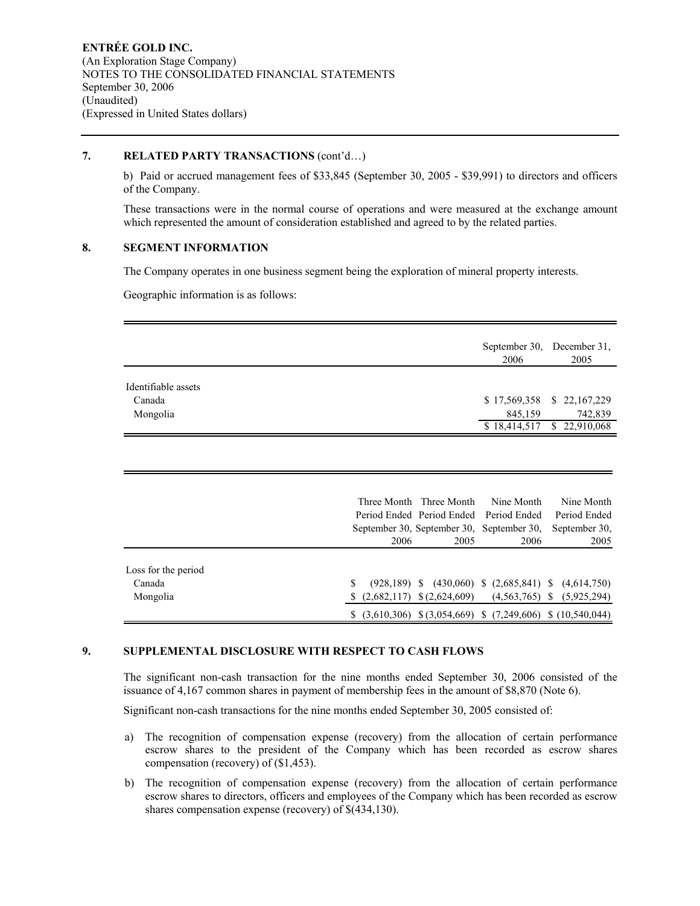## **7. RELATED PARTY TRANSACTIONS** (cont'd…)

b) Paid or accrued management fees of \$33,845 (September 30, 2005 - \$39,991) to directors and officers of the Company.

These transactions were in the normal course of operations and were measured at the exchange amount which represented the amount of consideration established and agreed to by the related parties.

### **8. SEGMENT INFORMATION**

The Company operates in one business segment being the exploration of mineral property interests.

Geographic information is as follows:

|                     | September 30, December 31,<br>2006<br>2005 |  |
|---------------------|--------------------------------------------|--|
| Identifiable assets |                                            |  |
| Canada              | \$17,569,358 \$22,167,229                  |  |
| Mongolia            | 845,159<br>742,839                         |  |
|                     | $$18,414,517$ $$22,910,068$                |  |

|                     |      | Three Month Three Month        | Nine Month                                                        | Nine Month                                                   |
|---------------------|------|--------------------------------|-------------------------------------------------------------------|--------------------------------------------------------------|
|                     |      |                                | Period Ended Period Ended Period Ended                            | Period Ended                                                 |
|                     |      |                                | September 30, September 30, September 30,                         | September 30,                                                |
|                     | 2006 | 2005                           | 2006                                                              | 2005                                                         |
|                     |      |                                |                                                                   |                                                              |
| Loss for the period |      |                                |                                                                   |                                                              |
| Canada              |      |                                |                                                                   | $(928,189)$ \$ $(430,060)$ \$ $(2,685,841)$ \$ $(4,614,750)$ |
| Mongolia            |      | $(2,682,117)$ \$ $(2,624,609)$ |                                                                   | $(4,563,765)$ \$ $(5,925,294)$                               |
|                     |      |                                | $(3,610,306)$ \$ $(3,054,669)$ \$ $(7,249,606)$ \$ $(10,540,044)$ |                                                              |

## **9. SUPPLEMENTAL DISCLOSURE WITH RESPECT TO CASH FLOWS**

The significant non-cash transaction for the nine months ended September 30, 2006 consisted of the issuance of 4,167 common shares in payment of membership fees in the amount of \$8,870 (Note 6).

Significant non-cash transactions for the nine months ended September 30, 2005 consisted of:

- a) The recognition of compensation expense (recovery) from the allocation of certain performance escrow shares to the president of the Company which has been recorded as escrow shares compensation (recovery) of (\$1,453).
- b) The recognition of compensation expense (recovery) from the allocation of certain performance escrow shares to directors, officers and employees of the Company which has been recorded as escrow shares compensation expense (recovery) of \$(434,130).